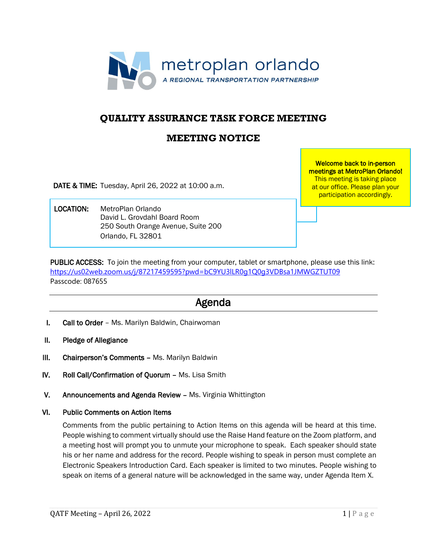

# **QUALITY ASSURANCE TASK FORCE MEETING**

# **MEETING NOTICE**

DATE & TIME: Tuesday, April 26, 2022 at 10:00 a.m.

 LOCATION: MetroPlan Orlando David L. Grovdahl Board Room 250 South Orange Avenue, Suite 200 Orlando, FL 32801

Welcome back to in-person meetings at MetroPlan Orlando! This meeting is taking place at our office. Please plan your participation accordingly.

PUBLIC ACCESS: To join the meeting from your computer, tablet or smartphone, please use this link: <https://us02web.zoom.us/j/87217459595?pwd=bC9YU3lLR0g1Q0g3VDBsa1JMWGZTUT09> Passcode: 087655

# Agenda

- I. Call to Order Ms. Marilyn Baldwin, Chairwoman
- II. Pledge of Allegiance
- III. Chairperson's Comments Ms. Marilyn Baldwin
- IV. Roll Call/Confirmation of Quorum Ms. Lisa Smith
- V. Announcements and Agenda Review Ms. Virginia Whittington

#### VI. Public Comments on Action Items

Comments from the public pertaining to Action Items on this agenda will be heard at this time. People wishing to comment virtually should use the Raise Hand feature on the Zoom platform, and a meeting host will prompt you to unmute your microphone to speak. Each speaker should state his or her name and address for the record. People wishing to speak in person must complete an Electronic Speakers Introduction Card. Each speaker is limited to two minutes. People wishing to speak on items of a general nature will be acknowledged in the same way, under Agenda Item X.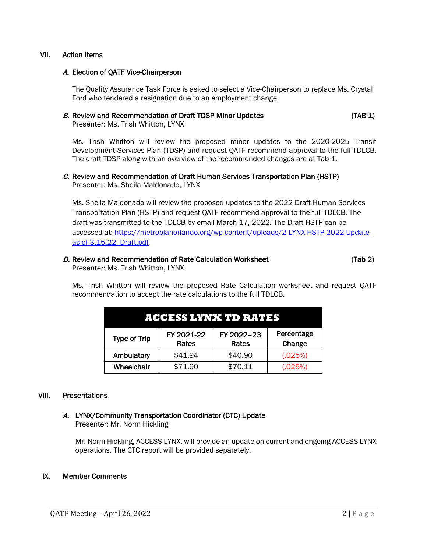# VII. Action Items

## A. Election of QATF Vice-Chairperson

The Quality Assurance Task Force is asked to select a Vice-Chairperson to replace Ms. Crystal Ford who tendered a resignation due to an employment change.

## B. Review and Recommendation of Draft TDSP Minor Updates (TAB 1)

Presenter: Ms. Trish Whitton, LYNX

Ms. Trish Whitton will review the proposed minor updates to the 2020-2025 Transit Development Services Plan (TDSP) and request QATF recommend approval to the full TDLCB. The draft TDSP along with an overview of the recommended changes are at Tab 1.

#### C. Review and Recommendation of Draft Human Services Transportation Plan (HSTP) Presenter: Ms. Sheila Maldonado, LYNX

Ms. Sheila Maldonado will review the proposed updates to the 2022 Draft Human Services Transportation Plan (HSTP) and request QATF recommend approval to the full TDLCB. The draft was transmitted to the TDLCB by email March 17, 2022. The Draft HSTP can be accessed at: [https://metroplanorlando.org/wp-content/uploads/2-LYNX-HSTP-2022-Update](https://metroplanorlando.org/wp-content/uploads/2-LYNX-HSTP-2022-Update-as-of-3.15.22_Draft.pdf)[as-of-3.15.22\\_Draft.pdf](https://metroplanorlando.org/wp-content/uploads/2-LYNX-HSTP-2022-Update-as-of-3.15.22_Draft.pdf)

#### D. Review and Recommendation of Rate Calculation Worksheet (Tab 2) Presenter: Ms. Trish Whitton, LYNX

Ms. Trish Whitton will review the proposed Rate Calculation worksheet and request QATF recommendation to accept the rate calculations to the full TDLCB.

| <b>ACCESS LYNX TD RATES</b> |                     |                     |                      |
|-----------------------------|---------------------|---------------------|----------------------|
| <b>Type of Trip</b>         | FY 2021-22<br>Rates | FY 2022-23<br>Rates | Percentage<br>Change |
| Ambulatory                  | \$41.94             | \$40.90             | (.025%)              |
| Wheelchair                  | \$71.90             | \$70.11             | (.025%)              |

#### VIII. Presentations

# A. LYNX/Community Transportation Coordinator (CTC) Update

Presenter: Mr. Norm Hickling

Mr. Norm Hickling, ACCESS LYNX, will provide an update on current and ongoing ACCESS LYNX operations. The CTC report will be provided separately.

# IX. Member Comments